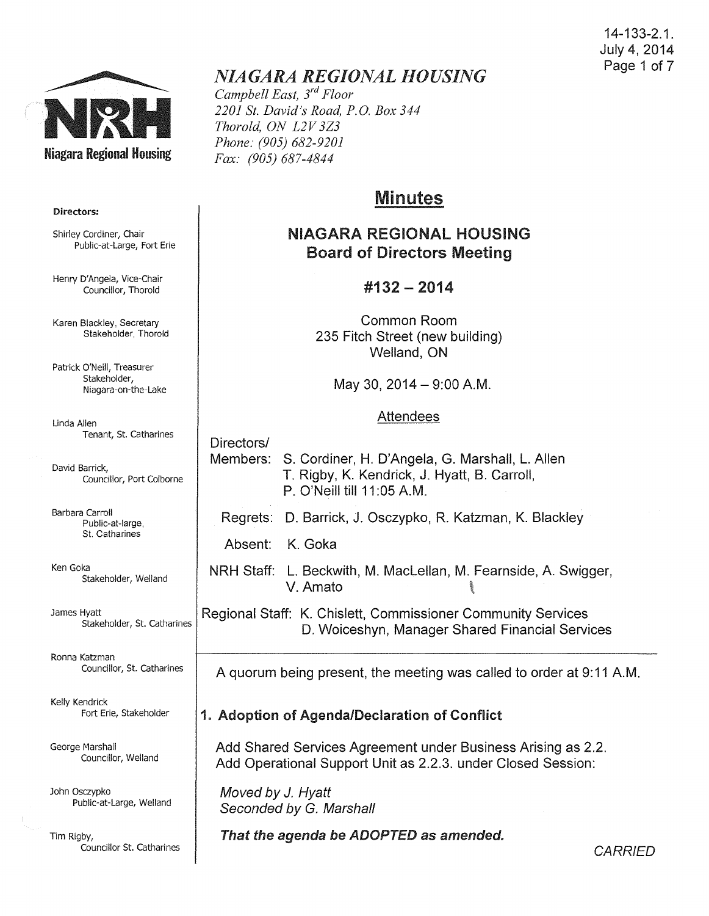14-133-2.1. July 4, 2014 Page 1 of 7



# *NIAGARA REGIONAL HOUSING*

*Campbell East, 3rd Floor 2201 St. David's Road, P.O. Box 344 Thorold, ON L2V 3Z3 Phone: (905) 682-9201 Fax: (905) 687-4844* 

# Minutes

# NIAGARA REGIONAL HOUSING Board of Directors Meeting

### #132- 2014

Common Room 235 Fitch Street (new building) Welland, ON

May 30,  $2014 - 9:00$  A.M.

#### Attendees

Directors/ Members: S. Cordiner, H. D'Angela, G. Marshall, L. Allen T. Rigby, K. Kendrick, J. Hyatt, B. Carroll, P. O'Neill till 11:05 A.M. Regrets: D. Barrick, J. Osczypko, R. Katzman, K. Blackley

Absent: K. Goka

NRH Staff: L. Beckwith, M. Maclellan, M. Fearnside, A. Swigger, V. Amato **Birth** 

Regional Staff: K. Chislett, Commissioner Community Services D. Woiceshyn, Manager Shared Financial Services

A quorum being present, the meeting was called to order at 9:11 A.M.

## 1. Adoption of Agenda/Declaration of Conflict

Add Shared Services Agreement under Business Arising as 2.2. Add Operational Support Unit as 2.2.3. under Closed Session:

Moved by J. Hyatt Seconded by G. Marshall

That the agenda be ADOPTED as amended.

**CARRIED** 

#### Directors:

Shirley Cordiner, Chair Public-at-Large, Fort Erie

Henry D'Angela, Vice-Chair Councillor, Thorold

Karen Blackley, Secretary Stakeholder, Thorold

Patrick O'Neill, Treasurer Stakeholder, Niagara-on-the-Lake

Linda Allen Tenant, St. Catharines

David Barrick, Councillor, Port Colborne

Barbara Carroll Public-at-large, St. Catharines

Ken Goka Stakeholder, Weiland

James Hyatt Stakeholder, St. Catharines

Ronna Katzman Councillor, St. Catharines

Kelly Kendrick Fort Erie, Stakeholder

George Marshall Councillor, Weiland

John Osczypko Public-at-Large, Weiland

Tim Rigby, Councillor St. Catharines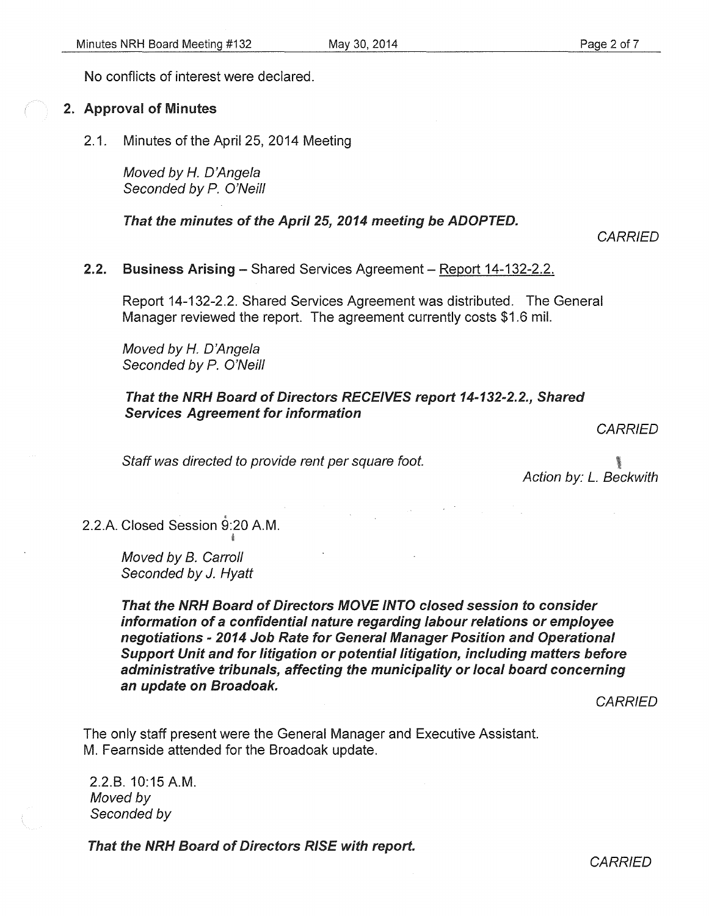No conflicts of interest were declared.

#### 2. Approval of Minutes

2.1. Minutes of the April 25, 2014 Meeting

Moved by *H.* D'Angela Seconded by P. O'Neill

That the minutes of the April 25, 2014 meeting be ADOPTED.

**CARRIED** 

2.2. Business Arising - Shared Services Agreement - Report 14-132-2.2.

Report 14-132-2.2. Shared Services Agreement was distributed. The General Manager reviewed the report. The agreement currently costs \$1.6 mil.

Moved by *H.* D'Angela Seconded by *P.* O'Neill

#### That the NRH Board of Directors RECEIVES report 14-132-2.2., Shared Services Agreement for information

**CARRIED** 

Staff was directed to provide rent per square foot.

Action by: *L.* Beckwith

2.2.A. Closed Session 9:20 A.M.

Moved by B. Carroll Seconded by J. Hyatt

That the NRH Board of Directors MOVE INTO closed session to consider information of a confidential nature regarding labour relations or employee negotiations - 2014 Job Rate for General Manager Position and Operational Support Unit and for litigation or potential litigation, including matters before administrative tribunals, affecting the municipality or local board concerning an update on Broadoak.

**CARRIED** 

The only staff present were the General Manager and Executive Assistant. M. Fearnside attended for the Broadoak update.

2.2.8. 10:15 A.M. Moved by Seconded by

That the NRH Board of Directors RISE with report.

**CARRIED**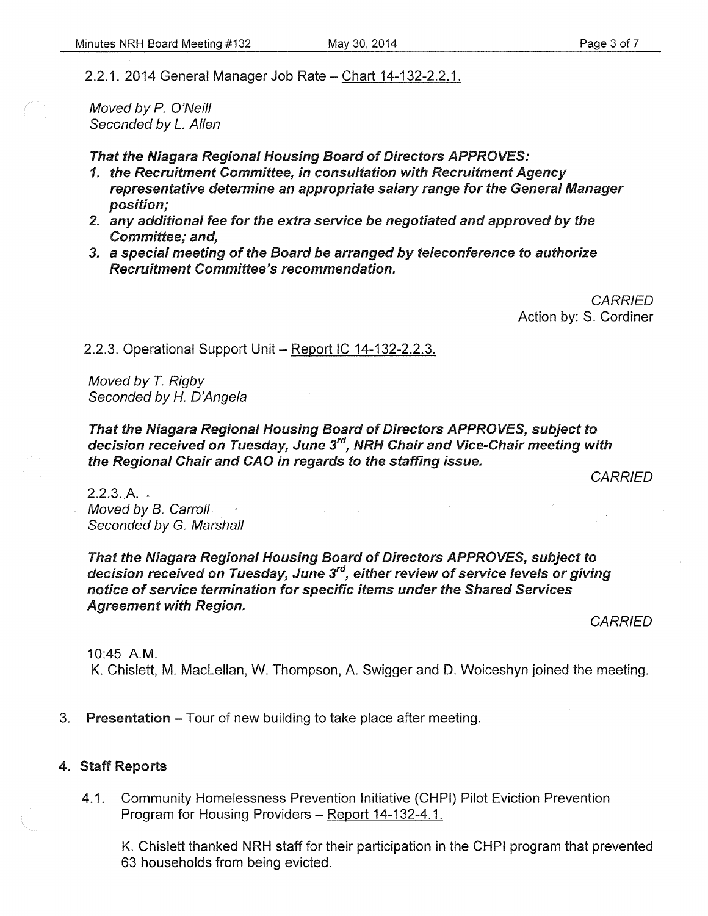2.2.1. 2014 General Manager Job Rate - Chart 14-132-2.2.1.

Moved by P. O'Neill Seconded by *L.* Allen

That the Niagara Regional Housing Board of Directors APPROVES:

- 1. the Recruitment Committee, in consultation with Recruitment Agency representative determine an appropriate salary range for the General Manager position;
- 2. any additional fee for the extra service be negotiated and approved by the Committee; and,
- 3. a special meeting of the Board be arranged by teleconference to authorize Recruitment Committee's recommendation.

**CARRIED** Action by: S. Cordiner

2.2.3. Operational Support Unit - Report IC 14-132-2.2.3.

Moved by T. Rigby Seconded by H. D'Angela

That the Niagara Regional Housing Board of Directors APPROVES, subject to decision received on Tuesday, June 3<sup>rd</sup>, NRH Chair and Vice-Chair meeting with the Regional Chair and CAD in regards to the staffing issue.

**CARRIED** 

 $2.2.3. A.$ Moved by B. Carroll Seconded by G. Marshall

That the Niagara Regional Housing Board of Directors APPROVES, subject to decision received on Tuesday, June 3 $^{\prime\prime}$ , either review of service levels or giving notice of service termination for specific items under the Shared Services Agreement with Region.

**CARRIED** 

10:45 A.M.

K. Chislett, M. Maclellan, W. Thompson, A. Swigger and D. Woiceshyn joined the meeting.

3. Presentation – Tour of new building to take place after meeting.

#### 4. Staff Reports

4.1. Community Homelessness Prevention Initiative (CHPI) Pilot Eviction Prevention Program for Housing Providers - Report 14-132-4.1.

K. Chislett thanked NRH staff for their participation in the CHPI program that prevented 63 households from being evicted.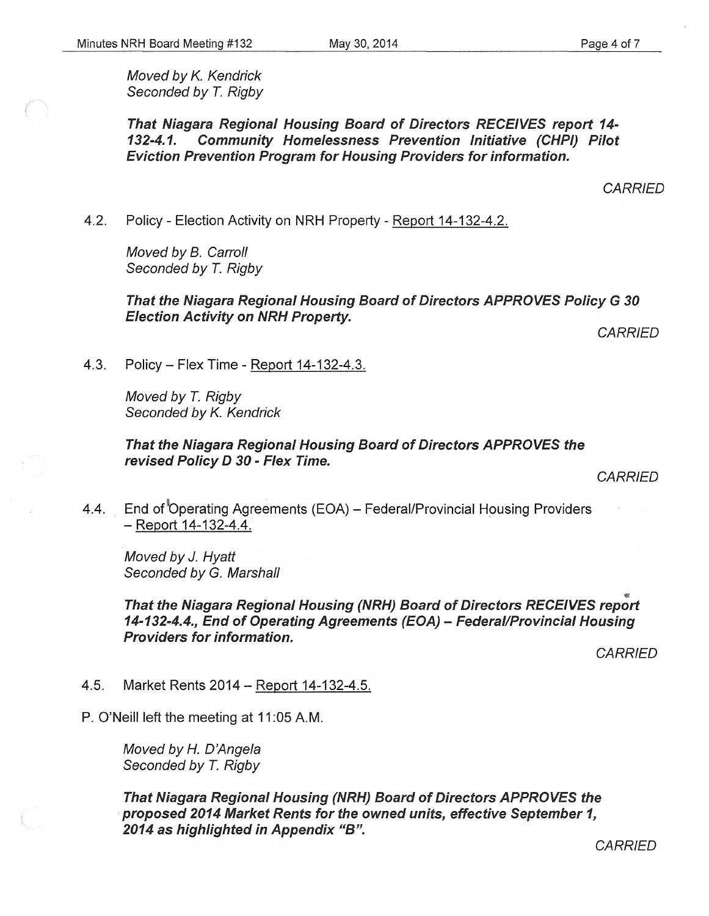That Niagara Regional Housing Board of Directors RECEIVES report *14- 132-4.1.* Community Homelessness Prevention Initiative (CHPI) Pilot Eviction Prevention Program for Housing Providers for information.

**CARRIED** 

4.2. Policy- Election Activity on NRH Property- Report 14-132-4.2.

Moved by B. Carroll Seconded by T. Rigby

That the Niagara Regional Housing Board of Directors APPROVES Policy G *30*  **Election Activity on NRH Property.** 

**CARRIED** 

4.3. Policy- Flex Time- Report 14-132-4.3.

Moved by *T.* Rigby Seconded by *K.* Kendrick

That the Niagara Regional Housing Board of Directors APPROVES the revised Policy D *30* - Flex Time.

**CARRIED** 

4.4. End of Operating Agreements (EOA) - Federal/Provincial Housing Providers -Report 14-132-4.4.

Moved by J. Hyatt Seconded by G. Marshall

That the Niagara Regional Housing (NRH) Board of Directors RECEIVES report *14-132-4.4.,* End of Operating Agreements (EOA)- Federal/Provincial Housing Providers for information.

**CARRIED** 

4.5. Market Rents 2014- Report 14-132-4.5.

P. O'Neill left the meeting at 11:05 A.M.

Moved by *H.* D'Angela Seconded by *T.* Rigby

That Niagara Regional Housing (NRH) Board of Directors APPROVES the proposed *2014* Market Rents for the owned units, effective September *1,*  2014 as highlighted in Appendix "B".

**CARRIED**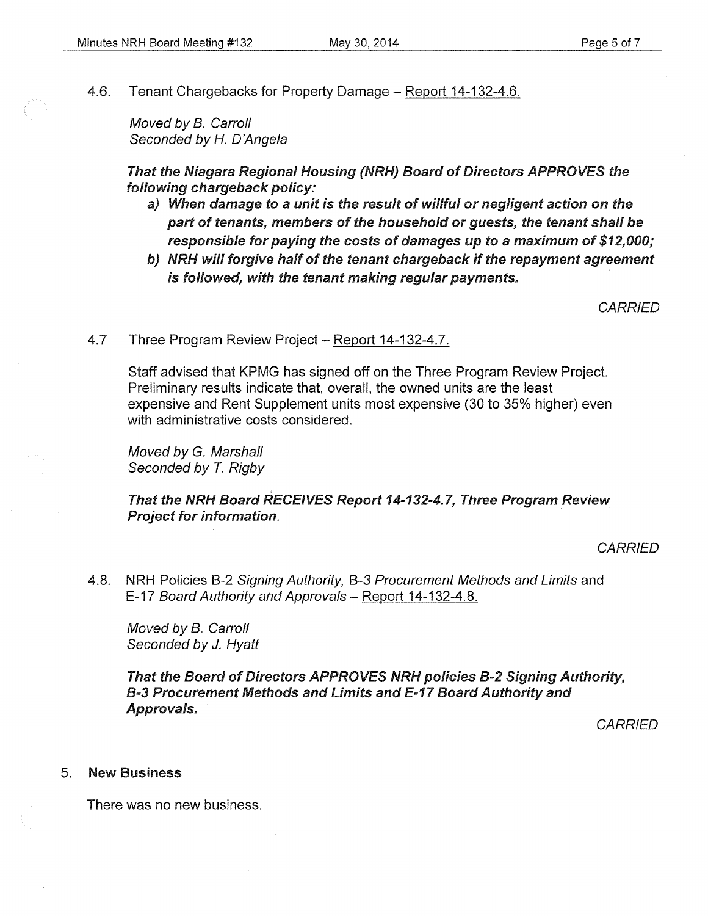4.6. Tenant Chargebacks for Property Damage- Report 14-132-4.6.

Moved by B. Carroll Seconded by H. D'Angela

That the Niagara Regional Housing (NRH) Board of Directors APPROVES the following chargeback policy:

- a) When damage to a unit is the result of willful or negligent action on the part of tenants, members of the household or guests, the tenant shall be responsible for paying the costs of damages up to a maximum of \$12,000;
- b) NRH will forgive half of the tenant chargeback if the repayment agreement is followed, with the tenant making regular payments.

**CARRIED** 

4.7 Three Program Review Project - Report 14-132-4.7.

Staff advised that KPMG has signed off on the Three Program Review Project. Preliminary results indicate that, overall, the owned units are the least expensive and Rent Supplement units most expensive (30 to 35% higher) even with administrative costs considered.

Moved by G. Marshall Seconded by *T.* Rigby

That the NRH Board RECEIVES Report 14-132-4.7, Three Program Review Project for information.

**CARRIED** 

4.8. NRH Policies B-2 Signing Authority, B-3 Procurement Methods and Limits and E-17 Board Authority and Approvals - Report 14-132-4.8.

Moved by B. Carroll Seconded by J. Hyatt

That the Board of Directors APPROVES NRH policies B-2 Signing Authority, B-3 Procurement Methods and Limits and E-17 Board Authority and Approvals.

**CARRIED** 

#### 5. New Business

There was no new business.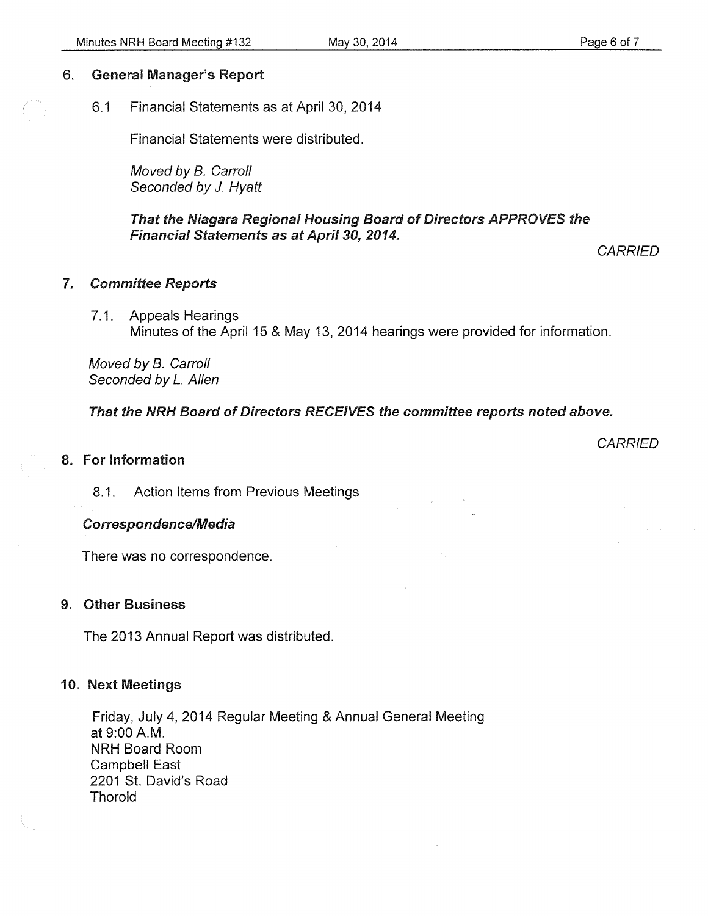### 6. General Manager's Report

6.1 Financial Statements as at April 30, 2014

Financial Statements were distributed.

Moved by B. Carroll Seconded by J. Hyatt

That the Niagara Regional Housing Board of Directors APPROVES the **Financial Statements as at April 30, 2014.** 

**CARRIED** 

- 7. Committee Reports
	- 7 .1. Appeals Hearings Minutes of the April 15 & May 13, 2014 hearings were provided for information.

Moved by B. Carroll Seconded by L. Allen

That the NRH Board of Directors RECEIVES the committee reports noted above.

#### 8. For Information

**CARRIED** 

8.1. Action Items from Previous Meetings

#### Correspondence/Media

There was no correspondence.

#### 9. Other Business

The 2013 Annual Report was distributed.

#### 10. Next Meetings

Friday, July 4, 2014 Regular Meeting & Annual General Meeting at 9:00A.M. NRH Board Room Campbell East 2201 St. David's Road Thorold